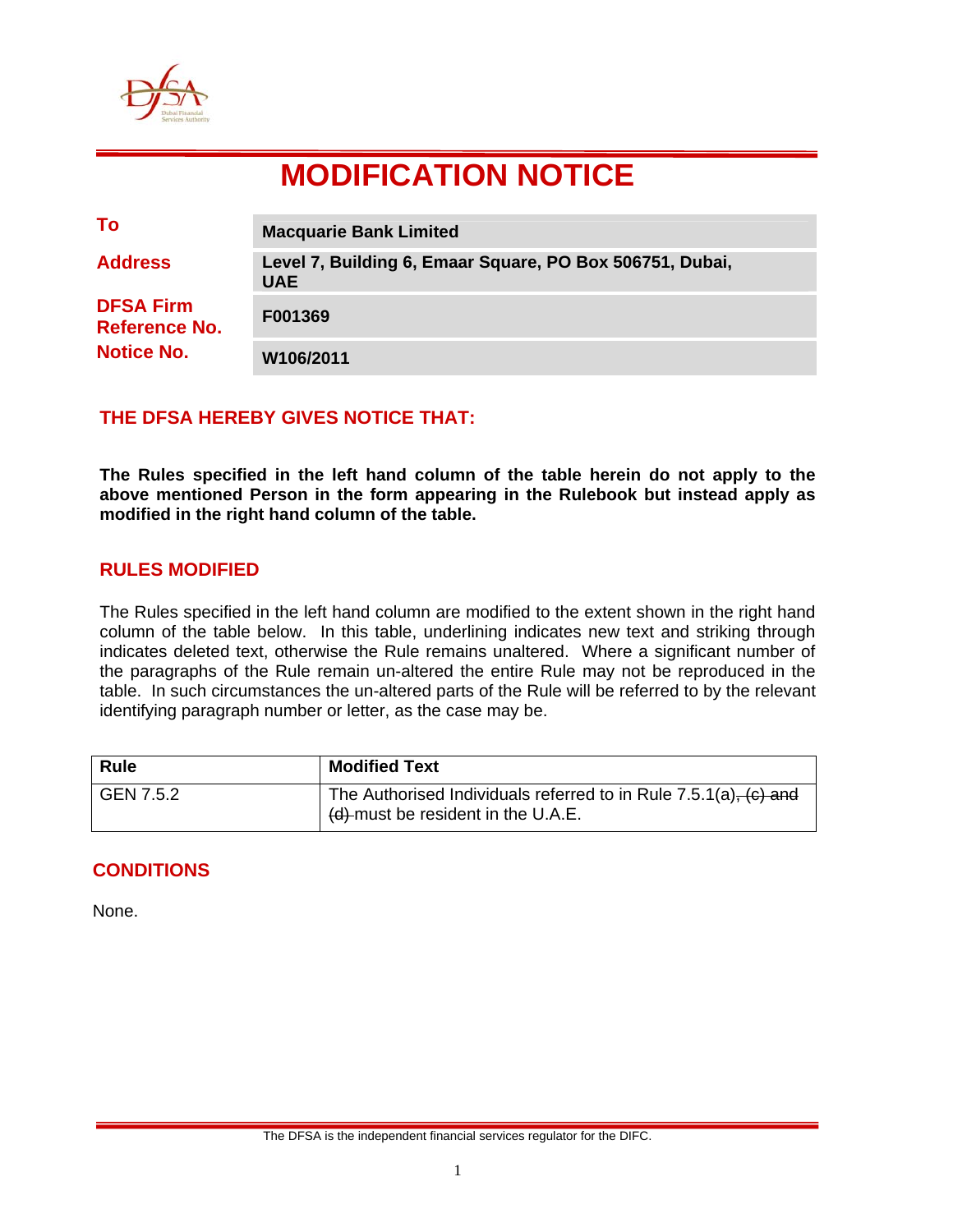

# **MODIFICATION NOTICE**

| To                                                            | <b>Macquarie Bank Limited</b>                                          |
|---------------------------------------------------------------|------------------------------------------------------------------------|
| <b>Address</b>                                                | Level 7, Building 6, Emaar Square, PO Box 506751, Dubai,<br><b>UAE</b> |
| <b>DFSA Firm</b><br><b>Reference No.</b><br><b>Notice No.</b> | F001369                                                                |
|                                                               | W106/2011                                                              |

## **THE DFSA HEREBY GIVES NOTICE THAT:**

**The Rules specified in the left hand column of the table herein do not apply to the above mentioned Person in the form appearing in the Rulebook but instead apply as modified in the right hand column of the table.** 

## **RULES MODIFIED**

The Rules specified in the left hand column are modified to the extent shown in the right hand column of the table below. In this table, underlining indicates new text and striking through indicates deleted text, otherwise the Rule remains unaltered. Where a significant number of the paragraphs of the Rule remain un-altered the entire Rule may not be reproduced in the table. In such circumstances the un-altered parts of the Rule will be referred to by the relevant identifying paragraph number or letter, as the case may be.

| <b>Rule</b> | <b>Modified Text</b>                                                                                        |
|-------------|-------------------------------------------------------------------------------------------------------------|
| GEN 7.5.2   | The Authorised Individuals referred to in Rule $7.5.1(a)$ , $(c)$ and<br>(d) must be resident in the U.A.E. |

## **CONDITIONS**

None.